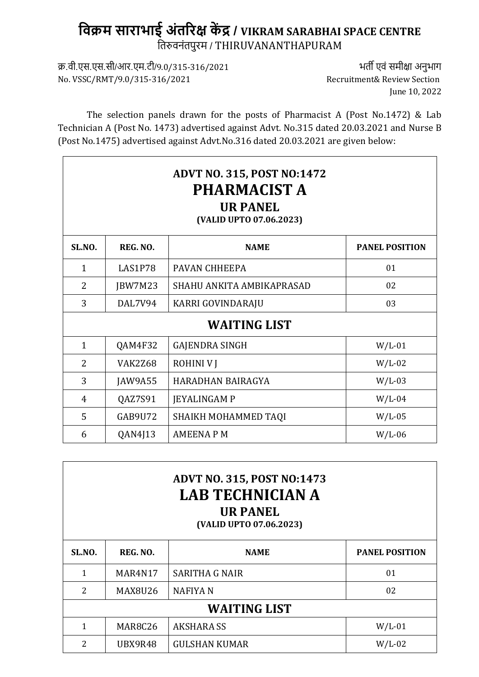## **िवक्रम साराभाई अंत�र� क� द्र / VIKRAM SARABHAI SPACE CENTRE** ित�वनंतपुरम / THIRUVANANTHAPURAM

क्र.वी.एस.एस.सी/आर.एम.टी/9.0/315-316/2021 भिला कर समीक्षा अनुभाग No. VSSC/RMT/9.0/315-316/2021 Recruitment& Review Section

June 10, 2022

The selection panels drawn for the posts of Pharmacist A (Post No.1472) & Lab Technician A (Post No. 1473) advertised against Advt. No.315 dated 20.03.2021 and Nurse B (Post No.1475) advertised against Advt.No.316 dated 20.03.2021 are given below:

| <b>ADVT NO. 315, POST NO:1472</b><br><b>PHARMACIST A</b><br><b>UR PANEL</b><br>(VALID UPTO 07.06.2023) |                |                           |                       |  |  |  |
|--------------------------------------------------------------------------------------------------------|----------------|---------------------------|-----------------------|--|--|--|
| SL.NO.                                                                                                 | REG. NO.       | <b>NAME</b>               | <b>PANEL POSITION</b> |  |  |  |
| $\mathbf{1}$                                                                                           | LAS1P78        | PAVAN CHHEEPA             | 01                    |  |  |  |
| $\overline{2}$                                                                                         | JBW7M23        | SHAHU ANKITA AMBIKAPRASAD | 02                    |  |  |  |
| 3                                                                                                      | <b>DAL7V94</b> | KARRI GOVINDARAJU         | 03                    |  |  |  |
| <b>WAITING LIST</b>                                                                                    |                |                           |                       |  |  |  |
| $\mathbf{1}$                                                                                           | QAM4F32        | <b>GAJENDRA SINGH</b>     | $W/L-01$              |  |  |  |
| $\overline{2}$                                                                                         | <b>VAK2Z68</b> | <b>ROHINIVI</b>           | $W/L-02$              |  |  |  |
| 3                                                                                                      | JAW9A55        | <b>HARADHAN BAIRAGYA</b>  | $W/L-03$              |  |  |  |
| 4                                                                                                      | QAZ7S91        | <b>JEYALINGAM P</b>       | $W/L-04$              |  |  |  |
| 5                                                                                                      | GAB9U72        | SHAIKH MOHAMMED TAQI      | $W/L-05$              |  |  |  |
| 6                                                                                                      | QAN4J13        | <b>AMEENAPM</b>           | $W/L-06$              |  |  |  |

## **ADVT NO. 315, POST NO:1473 LAB TECHNICIAN A UR PANEL (VALID UPTO 07.06.2023)**

| SL.NO.              | REG. NO.       | <b>NAME</b>           | <b>PANEL POSITION</b> |  |  |
|---------------------|----------------|-----------------------|-----------------------|--|--|
| 1                   | MAR4N17        | <b>SARITHA G NAIR</b> | 01                    |  |  |
| 2                   | <b>MAX8U26</b> | <b>NAFIYA N</b>       | 02                    |  |  |
| <b>WAITING LIST</b> |                |                       |                       |  |  |
| $\mathbf{1}$        | MAR8C26        | <b>AKSHARA SS</b>     | $W/L-01$              |  |  |
| 2                   | UBX9R48        | <b>GULSHAN KUMAR</b>  | $W/L-02$              |  |  |